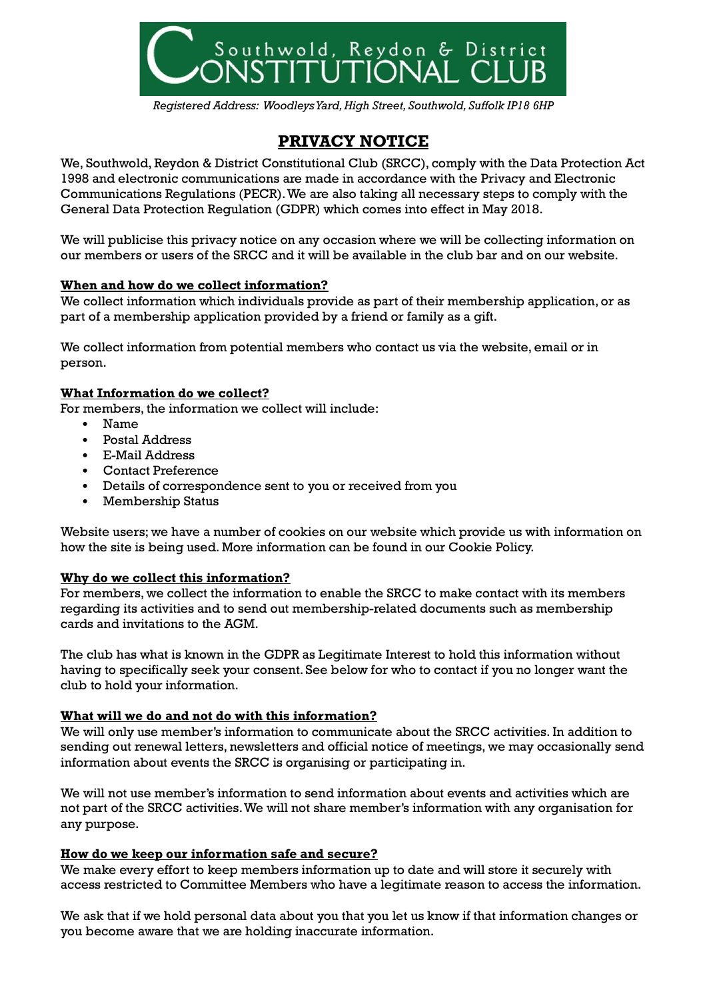

*Registered Address: Woodleys Yard, High Street, Southwold, Suffolk IP18 6HP*

# **PRIVACY NOTICE**

We, Southwold, Reydon & District Constitutional Club (SRCC), comply with the Data Protection Act 1998 and electronic communications are made in accordance with the Privacy and Electronic Communications Regulations (PECR). We are also taking all necessary steps to comply with the General Data Protection Regulation (GDPR) which comes into effect in May 2018.

We will publicise this privacy notice on any occasion where we will be collecting information on our members or users of the SRCC and it will be available in the club bar and on our website.

## **When and how do we collect information?**

We collect information which individuals provide as part of their membership application, or as part of a membership application provided by a friend or family as a gift.

We collect information from potential members who contact us via the website, email or in person.

#### **What Information do we collect?**

For members, the information we collect will include:

- Name
- Postal Address
- E-Mail Address
- Contact Preference
- Details of correspondence sent to you or received from you
- Membership Status

Website users; we have a number of cookies on our website which provide us with information on how the site is being used. More information can be found in our Cookie Policy.

#### **Why do we collect this information?**

For members, we collect the information to enable the SRCC to make contact with its members regarding its activities and to send out membership-related documents such as membership cards and invitations to the AGM.

The club has what is known in the GDPR as Legitimate Interest to hold this information without having to specifically seek your consent. See below for who to contact if you no longer want the club to hold your information.

## **What will we do and not do with this information?**

We will only use member's information to communicate about the SRCC activities. In addition to sending out renewal letters, newsletters and official notice of meetings, we may occasionally send information about events the SRCC is organising or participating in.

We will not use member's information to send information about events and activities which are not part of the SRCC activities. We will not share member's information with any organisation for any purpose.

#### **How do we keep our information safe and secure?**

We make every effort to keep members information up to date and will store it securely with access restricted to Committee Members who have a legitimate reason to access the information.

We ask that if we hold personal data about you that you let us know if that information changes or you become aware that we are holding inaccurate information.